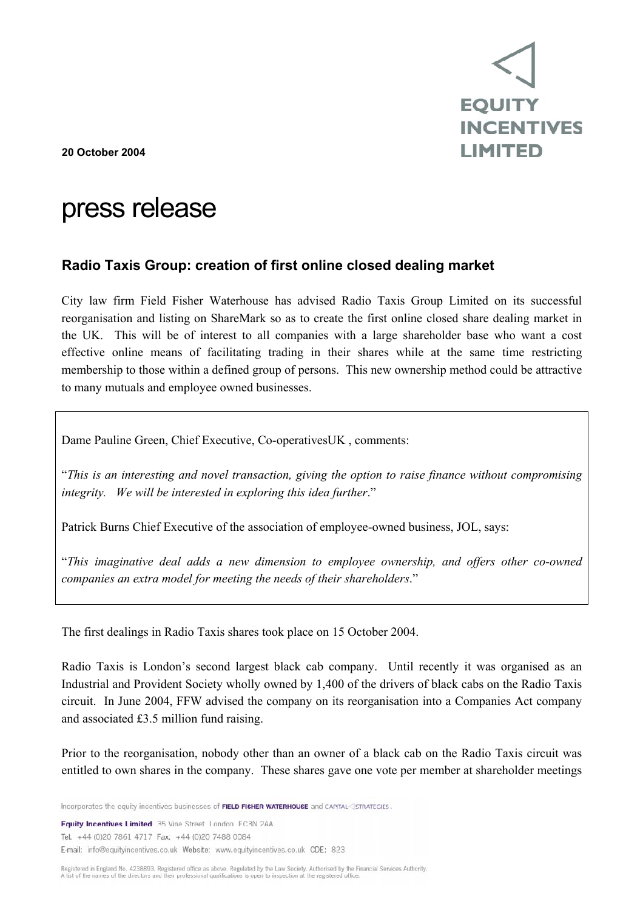

**20 October 2004** 

# press release

## **Radio Taxis Group: creation of first online closed dealing market**

City law firm Field Fisher Waterhouse has advised Radio Taxis Group Limited on its successful reorganisation and listing on ShareMark so as to create the first online closed share dealing market in the UK. This will be of interest to all companies with a large shareholder base who want a cost effective online means of facilitating trading in their shares while at the same time restricting membership to those within a defined group of persons. This new ownership method could be attractive to many mutuals and employee owned businesses.

Dame Pauline Green, Chief Executive, Co-operativesUK , comments:

"*This is an interesting and novel transaction, giving the option to raise finance without compromising integrity. We will be interested in exploring this idea further*."

Patrick Burns Chief Executive of the association of employee-owned business, JOL, says:

"*This imaginative deal adds a new dimension to employee ownership, and offers other co-owned companies an extra model for meeting the needs of their shareholders*."

The first dealings in Radio Taxis shares took place on 15 October 2004.

Radio Taxis is London's second largest black cab company. Until recently it was organised as an Industrial and Provident Society wholly owned by 1,400 of the drivers of black cabs on the Radio Taxis circuit. In June 2004, FFW advised the company on its reorganisation into a Companies Act company and associated £3.5 million fund raising.

Prior to the reorganisation, nobody other than an owner of a black cab on the Radio Taxis circuit was entitled to own shares in the company. These shares gave one vote per member at shareholder meetings

Incorporates the equity incentives businesses of FIELD FISHER WATERHOUSE and CAPITAL<3STRATEGIES.

**Equity Incentives Limited** 35 Vine Street London EC3N 2AA Tel: +44 (0)20 7861 4717 Fax: +44 (0)20 7488 0084 E-mail: info@equityincentives.co.uk Website: www.equityincentives.co.uk CDE: 823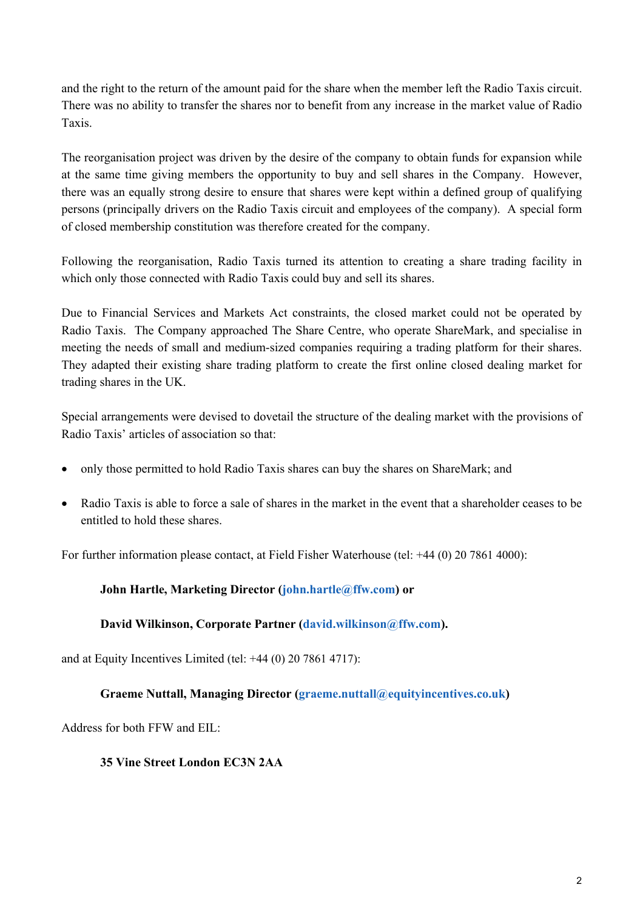and the right to the return of the amount paid for the share when the member left the Radio Taxis circuit. There was no ability to transfer the shares nor to benefit from any increase in the market value of Radio Taxis.

The reorganisation project was driven by the desire of the company to obtain funds for expansion while at the same time giving members the opportunity to buy and sell shares in the Company. However, there was an equally strong desire to ensure that shares were kept within a defined group of qualifying persons (principally drivers on the Radio Taxis circuit and employees of the company). A special form of closed membership constitution was therefore created for the company.

Following the reorganisation, Radio Taxis turned its attention to creating a share trading facility in which only those connected with Radio Taxis could buy and sell its shares.

Due to Financial Services and Markets Act constraints, the closed market could not be operated by Radio Taxis. The Company approached The Share Centre, who operate ShareMark, and specialise in meeting the needs of small and medium-sized companies requiring a trading platform for their shares. They adapted their existing share trading platform to create the first online closed dealing market for trading shares in the UK.

Special arrangements were devised to dovetail the structure of the dealing market with the provisions of Radio Taxis' articles of association so that:

- only those permitted to hold Radio Taxis shares can buy the shares on ShareMark; and
- Radio Taxis is able to force a sale of shares in the market in the event that a shareholder ceases to be entitled to hold these shares.

For further information please contact, at Field Fisher Waterhouse (tel: +44 (0) 20 7861 4000):

### **John Hartle, Marketing Director (john.hartle@ffw.com) or**

### **David Wilkinson, Corporate Partner (david.wilkinson@ffw.com).**

and at Equity Incentives Limited (tel: +44 (0) 20 7861 4717):

### **Graeme Nuttall, Managing Director (graeme.nuttall@equityincentives.co.uk)**

Address for both FFW and EIL:

#### **35 Vine Street London EC3N 2AA**